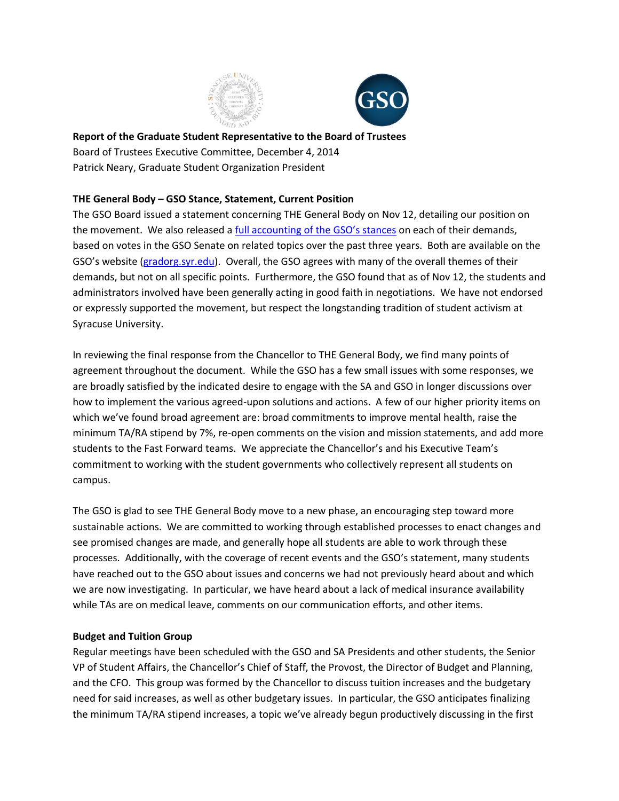



**Report of the Graduate Student Representative to the Board of Trustees** Board of Trustees Executive Committee, December 4, 2014 Patrick Neary, Graduate Student Organization President

# **THE General Body – GSO Stance, Statement, Current Position**

The GSO Board issued a statement concerning THE General Body on Nov 12, detailing our position on the movement. We also released a [full accounting of the GSO's stances](http://gradorg.syr.edu/wp-content/uploads/2012/06/GSO-Look-at-THE-General-Body-Demands.pdf) on each of their demands, based on votes in the GSO Senate on related topics over the past three years. Both are available on the GSO's website ([gradorg.syr.edu\)](http://gradorg.syr.edu/). Overall, the GSO agrees with many of the overall themes of their demands, but not on all specific points. Furthermore, the GSO found that as of Nov 12, the students and administrators involved have been generally acting in good faith in negotiations. We have not endorsed or expressly supported the movement, but respect the longstanding tradition of student activism at Syracuse University.

In reviewing the final response from the Chancellor to THE General Body, we find many points of agreement throughout the document. While the GSO has a few small issues with some responses, we are broadly satisfied by the indicated desire to engage with the SA and GSO in longer discussions over how to implement the various agreed-upon solutions and actions. A few of our higher priority items on which we've found broad agreement are: broad commitments to improve mental health, raise the minimum TA/RA stipend by 7%, re-open comments on the vision and mission statements, and add more students to the Fast Forward teams. We appreciate the Chancellor's and his Executive Team's commitment to working with the student governments who collectively represent all students on campus.

The GSO is glad to see THE General Body move to a new phase, an encouraging step toward more sustainable actions. We are committed to working through established processes to enact changes and see promised changes are made, and generally hope all students are able to work through these processes. Additionally, with the coverage of recent events and the GSO's statement, many students have reached out to the GSO about issues and concerns we had not previously heard about and which we are now investigating. In particular, we have heard about a lack of medical insurance availability while TAs are on medical leave, comments on our communication efforts, and other items.

## **Budget and Tuition Group**

Regular meetings have been scheduled with the GSO and SA Presidents and other students, the Senior VP of Student Affairs, the Chancellor's Chief of Staff, the Provost, the Director of Budget and Planning, and the CFO. This group was formed by the Chancellor to discuss tuition increases and the budgetary need for said increases, as well as other budgetary issues. In particular, the GSO anticipates finalizing the minimum TA/RA stipend increases, a topic we've already begun productively discussing in the first